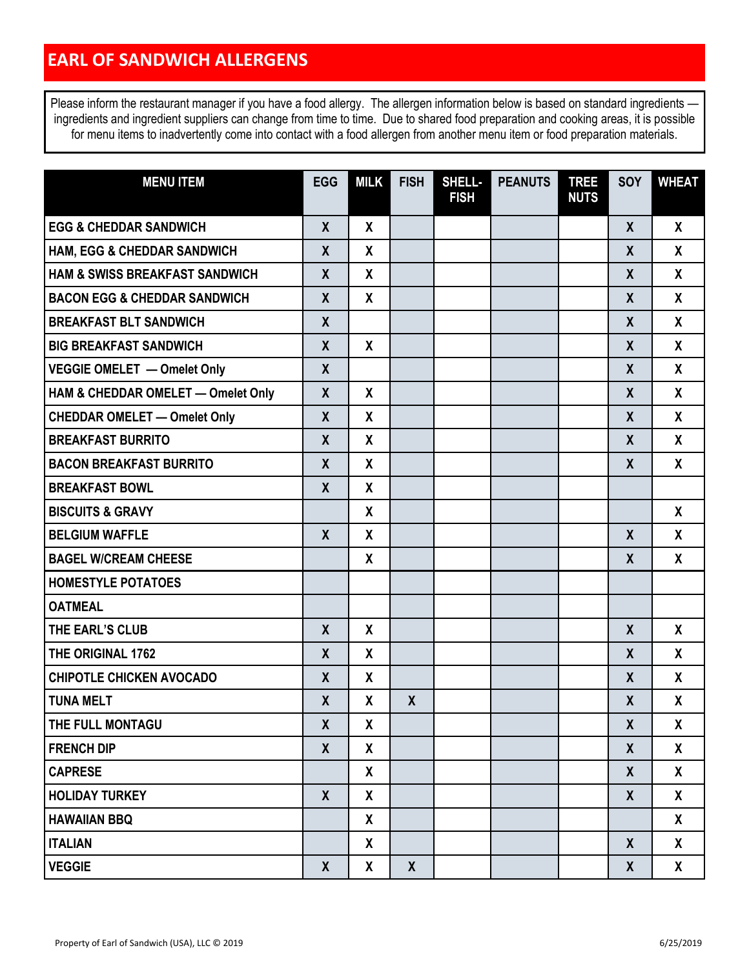| <b>MENU ITEM</b>                          | <b>EGG</b>       | <b>MILK</b>               | <b>FISH</b>  | SHELL-<br><b>FISH</b> | <b>PEANUTS</b> | <b>TREE</b><br><b>NUTS</b> | SOY              | <b>WHEAT</b>              |
|-------------------------------------------|------------------|---------------------------|--------------|-----------------------|----------------|----------------------------|------------------|---------------------------|
| <b>EGG &amp; CHEDDAR SANDWICH</b>         | $\boldsymbol{X}$ | X                         |              |                       |                |                            | $\mathsf{X}$     | X                         |
| <b>HAM, EGG &amp; CHEDDAR SANDWICH</b>    | X                | X                         |              |                       |                |                            | $\boldsymbol{X}$ | X                         |
| <b>HAM &amp; SWISS BREAKFAST SANDWICH</b> | $\mathsf{X}$     | X                         |              |                       |                |                            | $\boldsymbol{X}$ | X                         |
| <b>BACON EGG &amp; CHEDDAR SANDWICH</b>   | $\boldsymbol{X}$ | $\boldsymbol{\mathsf{X}}$ |              |                       |                |                            | $\mathsf{X}$     | $\boldsymbol{\mathsf{X}}$ |
| <b>BREAKFAST BLT SANDWICH</b>             | X                |                           |              |                       |                |                            | X                | X                         |
| <b>BIG BREAKFAST SANDWICH</b>             | $\boldsymbol{X}$ | $\mathbf{x}$              |              |                       |                |                            | $\boldsymbol{X}$ | $\mathsf{X}$              |
| VEGGIE OMELET - Omelet Only               | $\mathsf{X}$     |                           |              |                       |                |                            | $\mathsf{X}$     | X                         |
| HAM & CHEDDAR OMELET - Omelet Only        | $\boldsymbol{X}$ | X                         |              |                       |                |                            | $\mathsf{X}$     | X                         |
| <b>CHEDDAR OMELET - Omelet Only</b>       | $\boldsymbol{X}$ | $\boldsymbol{\mathsf{X}}$ |              |                       |                |                            | $\mathsf{X}$     | X                         |
| <b>BREAKFAST BURRITO</b>                  | $\boldsymbol{X}$ | $\boldsymbol{X}$          |              |                       |                |                            | $\mathsf{X}$     | X                         |
| <b>BACON BREAKFAST BURRITO</b>            | $\mathsf{X}$     | $\mathbf{x}$              |              |                       |                |                            | X                | X                         |
| <b>BREAKFAST BOWL</b>                     | $\boldsymbol{X}$ | $\mathbf{x}$              |              |                       |                |                            |                  |                           |
| <b>BISCUITS &amp; GRAVY</b>               |                  | $\mathbf{x}$              |              |                       |                |                            |                  | $\boldsymbol{X}$          |
| <b>BELGIUM WAFFLE</b>                     | $\boldsymbol{X}$ | X                         |              |                       |                |                            | $\mathsf{X}$     | X                         |
| <b>BAGEL W/CREAM CHEESE</b>               |                  | $\boldsymbol{X}$          |              |                       |                |                            | $\boldsymbol{X}$ | X                         |
| <b>HOMESTYLE POTATOES</b>                 |                  |                           |              |                       |                |                            |                  |                           |
| <b>OATMEAL</b>                            |                  |                           |              |                       |                |                            |                  |                           |
| THE EARL'S CLUB                           | $\boldsymbol{X}$ | X                         |              |                       |                |                            | $\boldsymbol{X}$ | X                         |
| THE ORIGINAL 1762                         | X                | $\boldsymbol{X}$          |              |                       |                |                            | $\boldsymbol{X}$ | $\mathsf{X}$              |
| <b>CHIPOTLE CHICKEN AVOCADO</b>           | $\mathsf{X}$     | $\mathbf{x}$              |              |                       |                |                            | X                | $\mathsf{X}$              |
| <b>TUNA MELT</b>                          | $\boldsymbol{X}$ | X                         | $\mathsf{X}$ |                       |                |                            | $\boldsymbol{X}$ | χ                         |
| THE FULL MONTAGU                          | $\boldsymbol{X}$ | X                         |              |                       |                |                            | $\boldsymbol{X}$ | X                         |
| <b>FRENCH DIP</b>                         | $\boldsymbol{X}$ | X                         |              |                       |                |                            | $\boldsymbol{X}$ | X                         |
| <b>CAPRESE</b>                            |                  | X                         |              |                       |                |                            | $\boldsymbol{X}$ | X                         |
| <b>HOLIDAY TURKEY</b>                     | $\boldsymbol{X}$ | X                         |              |                       |                |                            | $\boldsymbol{X}$ | X                         |
| <b>HAWAIIAN BBQ</b>                       |                  | X                         |              |                       |                |                            |                  | X                         |
| <b>ITALIAN</b>                            |                  | X                         |              |                       |                |                            | $\boldsymbol{X}$ | X                         |
| <b>VEGGIE</b>                             | $\mathsf{X}$     | X                         | $\mathsf{X}$ |                       |                |                            | X                | $\mathsf{X}$              |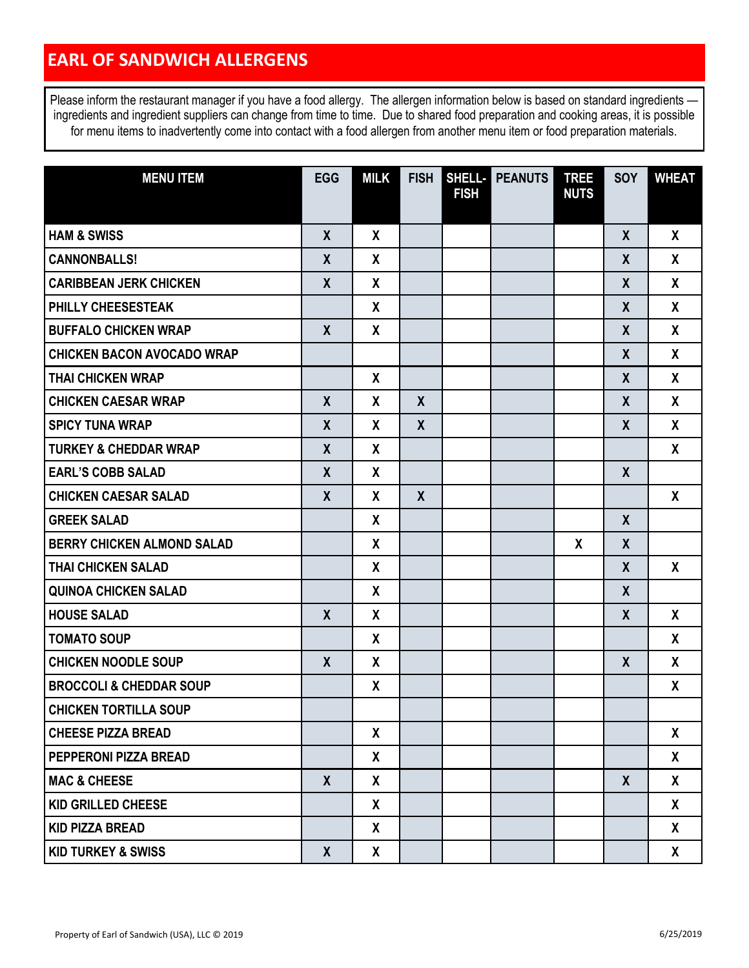| <b>MENU ITEM</b>                   | <b>EGG</b>   | <b>MILK</b>      | <b>FISH</b>      |             | SHELL- PEANUTS | <b>TREE</b>  | SOY              | <b>WHEAT</b> |
|------------------------------------|--------------|------------------|------------------|-------------|----------------|--------------|------------------|--------------|
|                                    |              |                  |                  | <b>FISH</b> |                | <b>NUTS</b>  |                  |              |
| <b>HAM &amp; SWISS</b>             | $\mathsf{X}$ | $\mathbf{x}$     |                  |             |                |              | $\mathsf{X}$     | X            |
| <b>CANNONBALLS!</b>                | X            | X                |                  |             |                |              | $\boldsymbol{X}$ | $\mathsf{X}$ |
| <b>CARIBBEAN JERK CHICKEN</b>      | $\mathsf{X}$ | X                |                  |             |                |              | $\mathsf{X}$     | X            |
| <b>PHILLY CHEESESTEAK</b>          |              | X                |                  |             |                |              | $\mathsf{X}$     | $\mathsf{X}$ |
| <b>BUFFALO CHICKEN WRAP</b>        | $\mathsf{X}$ | X                |                  |             |                |              | $\mathsf{X}$     | X            |
| <b>CHICKEN BACON AVOCADO WRAP</b>  |              |                  |                  |             |                |              | $\mathsf{X}$     | X            |
| <b>THAI CHICKEN WRAP</b>           |              | X                |                  |             |                |              | X                | X            |
| <b>CHICKEN CAESAR WRAP</b>         | $\mathsf{X}$ | X                | $\mathsf{X}$     |             |                |              | $\mathsf{X}$     | X            |
| <b>SPICY TUNA WRAP</b>             | X            | X                | $\mathsf{X}$     |             |                |              | X                | X            |
| <b>TURKEY &amp; CHEDDAR WRAP</b>   | $\mathsf{X}$ | X                |                  |             |                |              |                  | X            |
| <b>EARL'S COBB SALAD</b>           | X            | X                |                  |             |                |              | $\boldsymbol{X}$ |              |
| <b>CHICKEN CAESAR SALAD</b>        | X            | X                | $\boldsymbol{X}$ |             |                |              |                  | X            |
| <b>GREEK SALAD</b>                 |              | X                |                  |             |                |              | $\mathsf{X}$     |              |
| <b>BERRY CHICKEN ALMOND SALAD</b>  |              | X                |                  |             |                | $\mathbf{x}$ | $\mathsf{X}$     |              |
| <b>THAI CHICKEN SALAD</b>          |              | X                |                  |             |                |              | $\boldsymbol{X}$ | X            |
| <b>QUINOA CHICKEN SALAD</b>        |              | X                |                  |             |                |              | $\mathsf{X}$     |              |
| <b>HOUSE SALAD</b>                 | $\mathsf{X}$ | X                |                  |             |                |              | $\boldsymbol{X}$ | $\mathsf{X}$ |
| <b>TOMATO SOUP</b>                 |              | X                |                  |             |                |              |                  | X            |
| <b>CHICKEN NOODLE SOUP</b>         | $\mathsf{X}$ | $\boldsymbol{X}$ |                  |             |                |              | $\boldsymbol{X}$ | X            |
| <b>BROCCOLI &amp; CHEDDAR SOUP</b> |              | X                |                  |             |                |              |                  | X            |
| <b>CHICKEN TORTILLA SOUP</b>       |              |                  |                  |             |                |              |                  |              |
| <b>CHEESE PIZZA BREAD</b>          |              | X                |                  |             |                |              |                  | X            |
| <b>PEPPERONI PIZZA BREAD</b>       |              | X                |                  |             |                |              |                  | X            |
| <b>MAC &amp; CHEESE</b>            | X            | X                |                  |             |                |              | $\boldsymbol{X}$ | X            |
| <b>KID GRILLED CHEESE</b>          |              | X                |                  |             |                |              |                  | X            |
| <b>KID PIZZA BREAD</b>             |              | X                |                  |             |                |              |                  | X            |
| <b>KID TURKEY &amp; SWISS</b>      | $\mathsf{X}$ | X                |                  |             |                |              |                  | X            |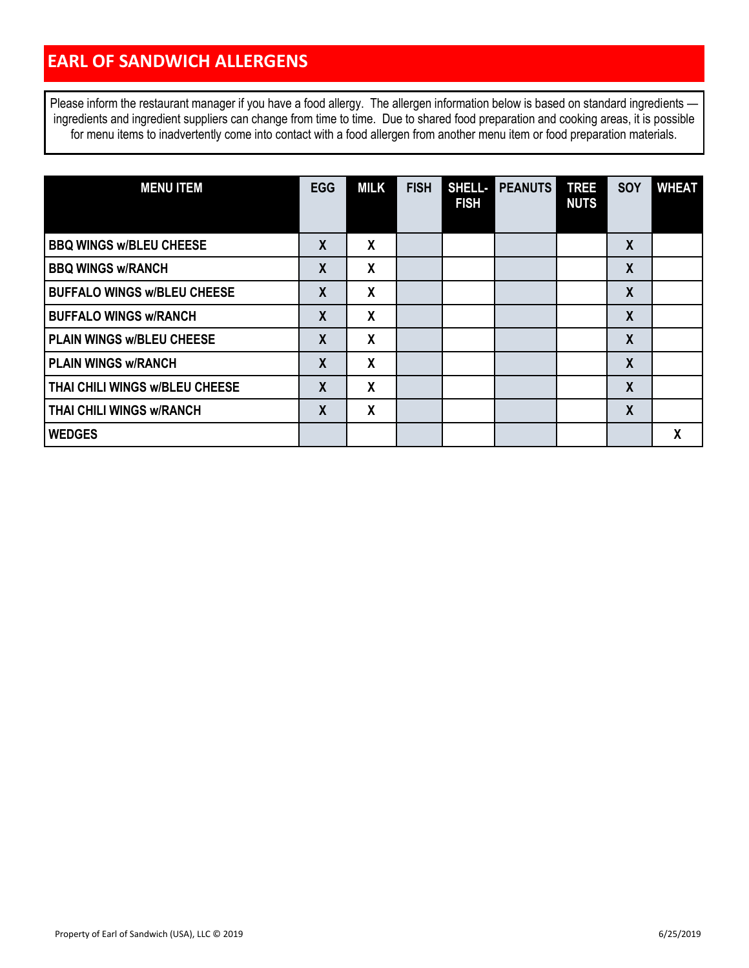| <b>MENU ITEM</b>                   | <b>EGG</b>       | <b>MILK</b>      | <b>FISH</b> | SHELL-<br><b>FISH</b> | <b>PEANUTS</b> | <b>TREE</b><br><b>NUTS</b> | <b>SOY</b>       | <b>WHEAT</b> |
|------------------------------------|------------------|------------------|-------------|-----------------------|----------------|----------------------------|------------------|--------------|
| <b>BBQ WINGS w/BLEU CHEESE</b>     | $\boldsymbol{X}$ | X                |             |                       |                |                            | $\boldsymbol{X}$ |              |
| <b>BBQ WINGS w/RANCH</b>           | X                | X                |             |                       |                |                            | X                |              |
| <b>BUFFALO WINGS w/BLEU CHEESE</b> | $\boldsymbol{X}$ | $\boldsymbol{X}$ |             |                       |                |                            | $\boldsymbol{X}$ |              |
| <b>BUFFALO WINGS w/RANCH</b>       | $\boldsymbol{X}$ | X                |             |                       |                |                            | $\boldsymbol{X}$ |              |
| <b>PLAIN WINGS W/BLEU CHEESE</b>   | $\boldsymbol{X}$ | X                |             |                       |                |                            | $\boldsymbol{X}$ |              |
| <b>PLAIN WINGS w/RANCH</b>         | $\boldsymbol{X}$ | X                |             |                       |                |                            | $\boldsymbol{X}$ |              |
| THAI CHILI WINGS W/BLEU CHEESE     | X                | X                |             |                       |                |                            | $\boldsymbol{X}$ |              |
| <b>THAI CHILI WINGS W/RANCH</b>    | $\boldsymbol{X}$ | X                |             |                       |                |                            | $\boldsymbol{X}$ |              |
| <b>WEDGES</b>                      |                  |                  |             |                       |                |                            |                  | X            |